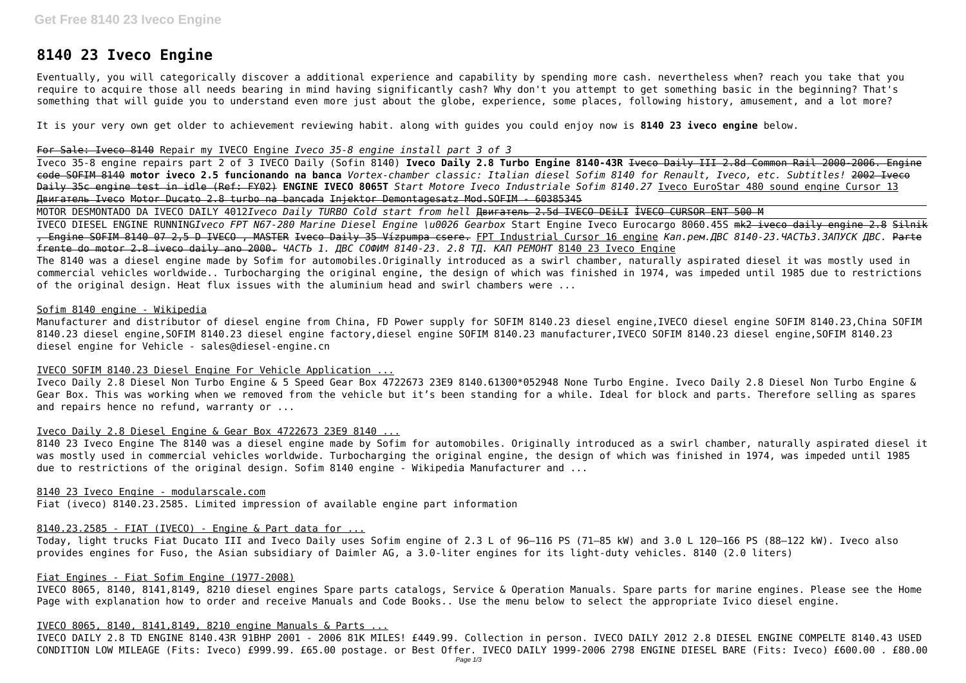# **8140 23 Iveco Engine**

Eventually, you will categorically discover a additional experience and capability by spending more cash. nevertheless when? reach you take that you require to acquire those all needs bearing in mind having significantly cash? Why don't you attempt to get something basic in the beginning? That's something that will guide you to understand even more just about the globe, experience, some places, following history, amusement, and a lot more?

It is your very own get older to achievement reviewing habit. along with guides you could enjoy now is **8140 23 iveco engine** below.

#### For Sale: Iveco 8140 Repair my IVECO Engine *Iveco 35-8 engine install part 3 of 3*

Iveco 35-8 engine repairs part 2 of 3 IVECO Daily (Sofin 8140) **Iveco Daily 2.8 Turbo Engine 8140-43R** Iveco Daily III 2.8d Common Rail 2000-2006. Engine code SOFIM 8140 **motor iveco 2.5 funcionando na banca** *Vortex-chamber classic: Italian diesel Sofim 8140 for Renault, Iveco, etc. Subtitles!* 2002 Iveco Daily 35c engine test in idle (Ref: FY02) **ENGINE IVECO 8065T** *Start Motore Iveco Industriale Sofim 8140.27* Iveco EuroStar 480 sound engine Cursor 13 Двигатель Iveco Motor Ducato 2.8 turbo na bancada Injektor Demontagesatz Mod.SOFIM - 60385345

MOTOR DESMONTADO DA IVECO DAILY 4012*Iveco Daily TURBO Cold start from hell* Двигатель 2.5d IVECO DEiLI İVECO CURSOR ENT 500 M IVECO DIESEL ENGINE RUNNING*Iveco FPT N67-280 Marine Diesel Engine \u0026 Gearbox* Start Engine Iveco Eurocargo 8060.45S mk2 iveco daily engine 2.8 Silnik , Engine SOFIM 8140 07 2,5 D IVECO , MASTER Iveco Daily 35 Vízpumpa csere. FPT Industrial Cursor 16 engine *Кап.рем.ДВС 8140-23.ЧАСТЬ3.ЗАПУСК ДВС.* Parte frente do motor 2.8 iveco daily ano 2000. *ЧАСТЬ 1. ДВС СОФИМ 8140-23. 2.8 ТД. КАП РЕМОНТ* 8140 23 Iveco Engine The 8140 was a diesel engine made by Sofim for automobiles.Originally introduced as a swirl chamber, naturally aspirated diesel it was mostly used in commercial vehicles worldwide.. Turbocharging the original engine, the design of which was finished in 1974, was impeded until 1985 due to restrictions of the original design. Heat flux issues with the aluminium head and swirl chambers were ...

#### Sofim 8140 engine - Wikipedia

Manufacturer and distributor of diesel engine from China, FD Power supply for SOFIM 8140.23 diesel engine,IVECO diesel engine SOFIM 8140.23,China SOFIM 8140.23 diesel engine,SOFIM 8140.23 diesel engine factory,diesel engine SOFIM 8140.23 manufacturer,IVECO SOFIM 8140.23 diesel engine,SOFIM 8140.23 diesel engine for Vehicle - sales@diesel-engine.cn

#### IVECO SOFIM 8140.23 Diesel Engine For Vehicle Application ...

Iveco Daily 2.8 Diesel Non Turbo Engine & 5 Speed Gear Box 4722673 23E9 8140.61300\*052948 None Turbo Engine. Iveco Daily 2.8 Diesel Non Turbo Engine & Gear Box. This was working when we removed from the vehicle but it's been standing for a while. Ideal for block and parts. Therefore selling as spares and repairs hence no refund, warranty or ...

#### Iveco Daily 2.8 Diesel Engine & Gear Box 4722673 23E9 8140 ...

8140 23 Iveco Engine The 8140 was a diesel engine made by Sofim for automobiles. Originally introduced as a swirl chamber, naturally aspirated diesel it was mostly used in commercial vehicles worldwide. Turbocharging the original engine, the design of which was finished in 1974, was impeded until 1985 due to restrictions of the original design. Sofim 8140 engine - Wikipedia Manufacturer and ...

8140 23 Iveco Engine - modularscale.com

Fiat (iveco) 8140.23.2585. Limited impression of available engine part information

#### 8140.23.2585 - FIAT (IVECO) - Engine & Part data for ...

Today, light trucks Fiat Ducato III and Iveco Daily uses Sofim engine of 2.3 L of 96–116 PS (71–85 kW) and 3.0 L 120–166 PS (88–122 kW). Iveco also provides engines for Fuso, the Asian subsidiary of Daimler AG, a 3.0-liter engines for its light-duty vehicles. 8140 (2.0 liters)

#### Fiat Engines - Fiat Sofim Engine (1977-2008)

IVECO 8065, 8140, 8141,8149, 8210 diesel engines Spare parts catalogs, Service & Operation Manuals. Spare parts for marine engines. Please see the Home Page with explanation how to order and receive Manuals and Code Books.. Use the menu below to select the appropriate Ivico diesel engine.

#### IVECO 8065, 8140, 8141,8149, 8210 engine Manuals & Parts ...

IVECO DAILY 2.8 TD ENGINE 8140.43R 91BHP 2001 - 2006 81K MILES! £449.99. Collection in person. IVECO DAILY 2012 2.8 DIESEL ENGINE COMPELTE 8140.43 USED CONDITION LOW MILEAGE (Fits: Iveco) £999.99. £65.00 postage. or Best Offer. IVECO DAILY 1999-2006 2798 ENGINE DIESEL BARE (Fits: Iveco) £600.00 . £80.00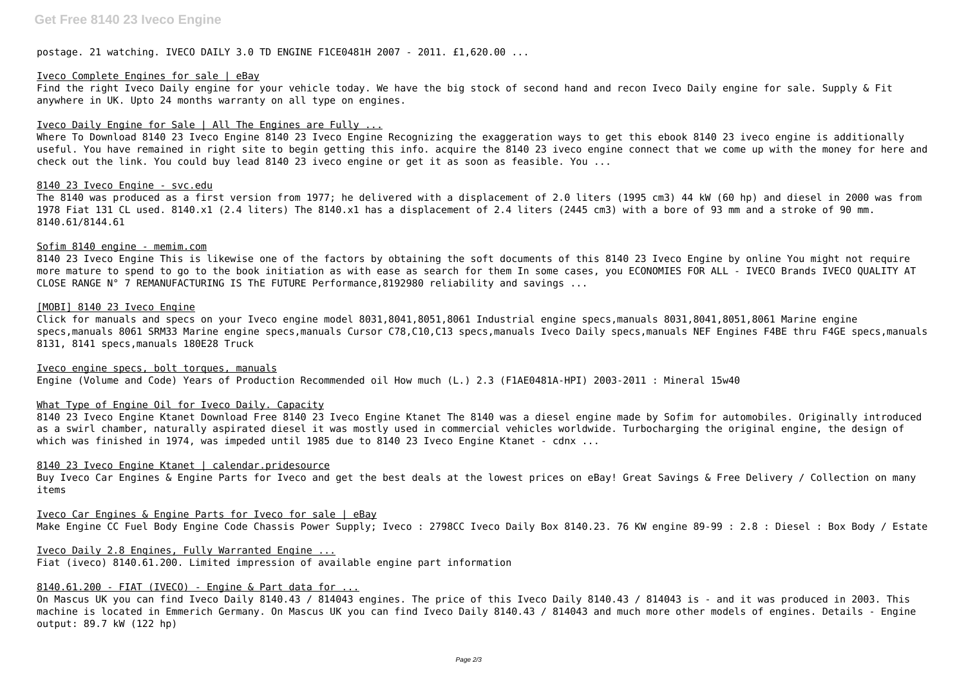postage. 21 watching. IVECO DAILY 3.0 TD ENGINE F1CE0481H 2007 - 2011. £1,620.00 ...

#### Iveco Complete Engines for sale | eBay

Find the right Iveco Daily engine for your vehicle today. We have the big stock of second hand and recon Iveco Daily engine for sale. Supply & Fit anywhere in UK. Upto 24 months warranty on all type on engines.

#### Iveco Daily Engine for Sale | All The Engines are Fully ...

Where To Download 8140 23 Iveco Engine 8140 23 Iveco Engine Recognizing the exaggeration ways to get this ebook 8140 23 iveco engine is additionally useful. You have remained in right site to begin getting this info. acquire the 8140 23 iveco engine connect that we come up with the money for here and check out the link. You could buy lead 8140 23 iveco engine or get it as soon as feasible. You ...

#### 8140 23 Iveco Engine - svc.edu

The 8140 was produced as a first version from 1977; he delivered with a displacement of 2.0 liters (1995 cm3) 44 kW (60 hp) and diesel in 2000 was from 1978 Fiat 131 CL used. 8140.x1 (2.4 liters) The 8140.x1 has a displacement of 2.4 liters (2445 cm3) with a bore of 93 mm and a stroke of 90 mm. 8140.61/8144.61

8140 23 Iveco Engine Ktanet Download Free 8140 23 Iveco Engine Ktanet The 8140 was a diesel engine made by Sofim for automobiles. Originally introduced as a swirl chamber, naturally aspirated diesel it was mostly used in commercial vehicles worldwide. Turbocharging the original engine, the design of which was finished in 1974, was impeded until 1985 due to 8140 23 Iveco Engine Ktanet - cdnx ...

#### Sofim 8140 engine - memim.com

Buy Iveco Car Engines & Engine Parts for Iveco and get the best deals at the lowest prices on eBay! Great Savings & Free Delivery / Collection on many items

Iveco Car Engines & Engine Parts for Iveco for sale | eBay Make Engine CC Fuel Body Engine Code Chassis Power Supply; Iveco : 2798CC Iveco Daily Box 8140.23. 76 KW engine 89-99 : 2.8 : Diesel : Box Body / Estate

8140 23 Iveco Engine This is likewise one of the factors by obtaining the soft documents of this 8140 23 Iveco Engine by online You might not require more mature to spend to go to the book initiation as with ease as search for them In some cases, you ECONOMIES FOR ALL - IVECO Brands IVECO QUALITY AT CLOSE RANGE N° 7 REMANUFACTURING IS ThE FUTURE Performance,8192980 reliability and savings ...

#### [MOBI] 8140 23 Iveco Engine

Click for manuals and specs on your Iveco engine model 8031,8041,8051,8061 Industrial engine specs,manuals 8031,8041,8051,8061 Marine engine specs,manuals 8061 SRM33 Marine engine specs,manuals Cursor C78,C10,C13 specs,manuals Iveco Daily specs,manuals NEF Engines F4BE thru F4GE specs,manuals 8131, 8141 specs,manuals 180E28 Truck

Iveco engine specs, bolt torques, manuals Engine (Volume and Code) Years of Production Recommended oil How much (L.) 2.3 (F1AE0481A-HPI) 2003-2011 : Mineral 15w40

#### What Type of Engine Oil for Iveco Daily. Capacity

#### 8140 23 Iveco Engine Ktanet | calendar.pridesource

Iveco Daily 2.8 Engines, Fully Warranted Engine ...

## Fiat (iveco) 8140.61.200. Limited impression of available engine part information

### 8140.61.200 - FIAT (IVECO) - Engine & Part data for ...

On Mascus UK you can find Iveco Daily 8140.43 / 814043 engines. The price of this Iveco Daily 8140.43 / 814043 is - and it was produced in 2003. This machine is located in Emmerich Germany. On Mascus UK you can find Iveco Daily 8140.43 / 814043 and much more other models of engines. Details - Engine output: 89.7 kW (122 hp)